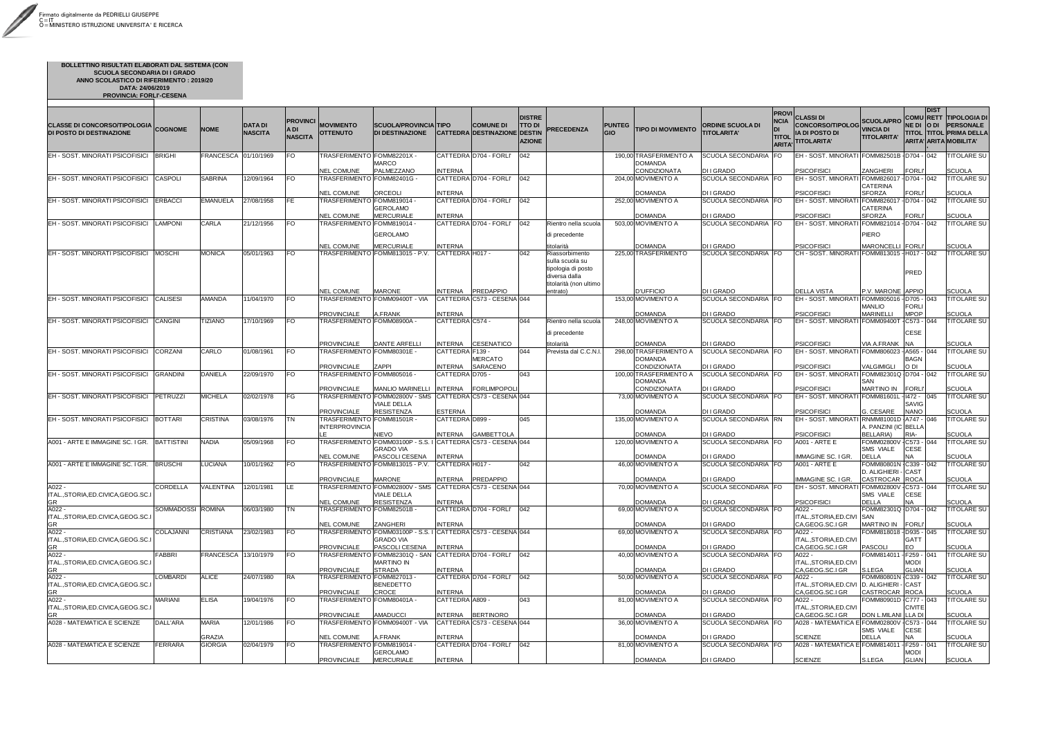| <b>CLASSE DI CONCORSO/TIPOLOGIA</b> COGNOME<br>DI POSTO DI DESTINAZIONE |                   | <b>NOME</b>                     | <b>DATA DI</b><br><b>NASCITA</b> | <b>PROVINCI</b><br>A DI<br><b>NASCITA</b> | <b>MOVIMENTO</b><br><b>OTTENUTO</b>                                    | <b>SCUOLA/PROVINCIA TIPO</b><br><b>DI DESTINAZIONE</b>                                                         |                                                   | <b>COMUNE DI</b><br><b>CATTEDRA DESTINAZIONE</b> | <b>DISTRE</b><br>TTO DI<br>DESTIN<br><b>AZIONE</b> | <b>PRECEDENZA</b>                                                                                                | <b>PUNTEG</b><br><b>GIO</b> | <b>TIPO DI MOVIMENTO</b>                                                          | <b>ORDINE SCUOLA DI</b><br><b>TITOLARITA'</b>           | <b>PROVI</b><br><b>NCIA</b><br>DI<br><b>TITOL</b><br><b>ARITA</b> | CLASSI DI<br>CONCORSO/TIPOLOG VINCIA DI<br><b>IA DI POSTO DI</b><br>TITOLARITA' | <b>SCUOLA/PRO</b><br><b>TITOLARITA'</b>                           | <b>IDIST</b><br><b>COMU RETT</b><br>NE DI O DI<br>ARITA' ARITA MOBILITA' | <b>TIPOLOGIA DI</b><br><b>PERSONALE</b><br><b>TITOL TITOL PRIMA DELLA</b> |
|-------------------------------------------------------------------------|-------------------|---------------------------------|----------------------------------|-------------------------------------------|------------------------------------------------------------------------|----------------------------------------------------------------------------------------------------------------|---------------------------------------------------|--------------------------------------------------|----------------------------------------------------|------------------------------------------------------------------------------------------------------------------|-----------------------------|-----------------------------------------------------------------------------------|---------------------------------------------------------|-------------------------------------------------------------------|---------------------------------------------------------------------------------|-------------------------------------------------------------------|--------------------------------------------------------------------------|---------------------------------------------------------------------------|
| EH - SOST. MINORATI PSICOFISICI                                         | <b>BRIGHI</b>     | FRANCESCA 01/10/1969            |                                  | FO                                        | TRASFERIMENTO FOMM82201X -                                             | MARCO                                                                                                          |                                                   | CATTEDRA D704 - FORLI'                           | 042                                                |                                                                                                                  |                             | 190,00 TRASFERIMENTO A<br><b>DOMANDA</b>                                          | <b>SCUOLA SECONDARIA</b>                                | <b>FO</b>                                                         | EH - SOST. MINORATI FOMM82501B - D704 - 042                                     |                                                                   |                                                                          | <b>TITOLARE SU</b>                                                        |
| EH - SOST. MINORATI PSICOFISICI                                         | <b>CASPOLI</b>    | <b>SABRINA</b>                  | 12/09/1964                       | FO.                                       | <b>NEL COMUNE</b><br>TRASFERIMENTO FOMM82401G -                        | PALMEZZANO                                                                                                     | <b>INTERNA</b>                                    | CATTEDRA D704 - FORLI'                           | 042                                                |                                                                                                                  |                             | <b>CONDIZIONATA</b><br>204,00 MOVIMENTO A                                         | DI I GRADO<br>SCUOLA SECONDARIA FO                      |                                                                   | <b>PSICOFISICI</b><br>EH - SOST. MINORATI FOMM826017 - D704 - 042               | ZANGHERI<br><b>CATERINA</b>                                       | <b>FORLI'</b>                                                            | <b>SCUOLA</b><br>TITOLARE SU                                              |
| EH - SOST. MINORATI PSICOFISICI                                         | <b>ERBACCI</b>    | <b>EMANUELA</b>                 | 27/08/1958                       | FE.                                       | <b>NEL COMUNE</b><br>- TRASFERIMENTO FOMM819014                        | ORCEOLI<br>GEROLAMO                                                                                            | <b>INTERNA</b>                                    | CATTEDRA D704 - FORLI'                           | 042                                                |                                                                                                                  |                             | DOMANDA<br>252,00 MOVIMENTO A                                                     | DI I GRADO<br>SCUOLA SECONDARIA FO                      |                                                                   | <b>PSICOFISICI</b><br><b>EH - SOST. MINORATI</b>                                | <b>SFORZA</b><br>FOMM826017 - D704 - 042<br><b>CATERINA</b>       | <b>FORLI'</b>                                                            | <b>SCUOLA</b><br>TITOLARE SU                                              |
| EH - SOST. MINORATI PSICOFISICI                                         | <b>LAMPONI</b>    | <b>CARLA</b>                    | 21/12/1956                       | FO.                                       | <b>NEL COMUNE</b><br>TRASFERIMENTO FOMM819014 -                        | <b>MERCURIALE</b>                                                                                              | <b>INTERNA</b>                                    | CATTEDRA D704 - FORLI'                           | 042                                                | Rientro nella scuola                                                                                             |                             | <b>DOMANDA</b><br>503,00 MOVIMENTO A                                              | DI I GRADO<br>SCUOLA SECONDARIA FO                      |                                                                   | <b>PSICOFISICI</b><br><b>EH - SOST. MINORATI</b>                                | <b>SFORZA</b><br>FOMM821014 - D704 - 042                          | <b>FORLI'</b>                                                            | <b>SCUOLA</b><br><b>TITOLARE SU</b>                                       |
|                                                                         |                   |                                 |                                  |                                           | <b>NEL COMUNE</b>                                                      | <b>GEROLAMO</b><br>MERCURIALE                                                                                  | <b>INTERNA</b>                                    |                                                  |                                                    | di precedente                                                                                                    |                             | <b>DOMANDA</b>                                                                    | DI I GRADO                                              |                                                                   | <b>PSICOFISICI</b>                                                              | <b>PIERO</b><br>MARONCELLI FORLI'                                 |                                                                          | <b>SCUOLA</b>                                                             |
| EH - SOST. MINORATI PSICOFISICI                                         | <b>MOSCHI</b>     | <b>MONICA</b>                   | 05/01/1963                       | <b>FO</b>                                 |                                                                        | TRASFERIMENTO FOMM813015 - P.V.                                                                                | CATTEDRA H017 -                                   |                                                  | 042                                                | titolarità<br>Riassorbimento<br>sulla scuola su<br>tipologia di posto<br>diversa dalla<br>titolarità (non ultimo |                             | 225,00 TRASFERIMENTO                                                              | SCUOLA SECONDARIA FO                                    |                                                                   | CH - SOST. MINORATI FOMM813015 - H017 - 042                                     |                                                                   | PRED                                                                     | <b>TITOLARE SU</b>                                                        |
|                                                                         |                   |                                 |                                  |                                           | <b>NEL COMUNE</b>                                                      | <b>MARONE</b>                                                                                                  | <b>INTERNA</b>                                    | <b>PREDAPPIO</b>                                 |                                                    | entrato)                                                                                                         |                             | D'UFFICIO                                                                         | DI I GRADO                                              |                                                                   | <b>DELLA VISTA</b>                                                              | P.V. MARONE APPIO                                                 |                                                                          | <b>SCUOLA</b>                                                             |
| EH - SOST. MINORATI PSICOFISICI                                         | <b>CALISESI</b>   | <b>AMANDA</b>                   | 11/04/1970                       | <b>FO</b>                                 | <b>PROVINCIALE</b>                                                     | TRASFERIMENTO FOMM09400T - VIA<br><b>\.FRANK</b>                                                               | <b>INTERNA</b>                                    | CATTEDRA C573 - CESENA 044                       |                                                    |                                                                                                                  |                             | 153,00 MOVIMENTO A<br><b>DOMANDA</b>                                              | SCUOLA SECONDARIA FO<br>DI I GRADO                      |                                                                   | EH - SOST. MINORATI FOMM805016 - D705 - 043<br><b>PSICOFISICI</b>               | <b>MANLIO</b><br><b>MARINELLI</b>                                 | <b>FORLI</b><br><b>MPOP</b>                                              | <b>TITOLARE SU</b><br><b>SCUOLA</b>                                       |
| EH - SOST. MINORATI PSICOFISICI                                         | <b>CANGINI</b>    | <b>TIZIANO</b>                  | 17/10/1969                       | <b>FO</b>                                 | TRASFERIMENTO FOMM08900A -                                             |                                                                                                                | CATTEDRA C574 -                                   |                                                  | 044                                                | Rientro nella scuola<br>di precedente                                                                            |                             | 248,00 MOVIMENTO A                                                                | SCUOLA SECONDARIA FO                                    |                                                                   | EH - SOST. MINORATI FOMM09400T -                                                |                                                                   | $-C573 - 044$<br><b>CESE</b>                                             | <b>TITOLARE SU</b>                                                        |
| EH - SOST. MINORATI PSICOFISICI                                         | <b>CORZANI</b>    | CARLO                           | 01/08/1961                       | IFO.                                      | <b>PROVINCIALE</b><br>TRASFERIMENTO FOMM80301E -<br><b>PROVINCIALE</b> | <b>DANTE ARFELLI</b><br>ZAPPI                                                                                  | <b>INTERNA</b><br>CATTEDRA F139<br><b>INTERNA</b> | <b>CESENATICO</b><br>MERCATO<br><b>SARACENO</b>  | 044                                                | titolarità<br>Prevista dal C.C.N.I.                                                                              |                             | <b>DOMANDA</b><br>298.00 TRASFERIMENTO A<br><b>DOMANDA</b><br><b>CONDIZIONATA</b> | <b>DI I GRADO</b><br>SCUOLA SECONDARIA FO<br>DI I GRADO |                                                                   | <b>PSICOFISICI</b><br><b>EH - SOST, MINORATI</b><br><b>PSICOFISICI</b>          | <b>VIA A.FRANK</b><br>FOMM806023 - A565 - 044<br>VALGIMIGLI       | INA.<br><b>BAGN</b><br>O DI                                              | <b>SCUOLA</b><br>TITOLARE SU<br><b>SCUOLA</b>                             |
| EH - SOST. MINORATI PSICOFISICI                                         | <b>GRANDINI</b>   | <b>DANIELA</b>                  | 22/09/1970                       | <b>FO</b>                                 | TRASFERIMENTO FOMM805016 -<br><b>PROVINCIALE</b>                       | MANLIO MARINELLI                                                                                               | CATTEDRA D705 -<br><b>INTERNA</b>                 | <b>FORLIMPOPOL</b>                               | 043                                                |                                                                                                                  |                             | 100,00 TRASFERIMENTO A<br><b>DOMANDA</b><br><b>CONDIZIONATA</b>                   | SCUOLA SECONDARIA FO<br>DI I GRADO                      |                                                                   | EH - SOST. MINORATI FOMM82301Q D704 - 042<br><b>PSICOFISIC</b>                  | SAN<br><b>MARTINO IN</b>                                          | <b>FORLI</b>                                                             | TITOLARE SU<br><b>SCUOLA</b>                                              |
| EH - SOST. MINORATI PSICOFISICI                                         | PETRUZZI          | <b>MICHELA</b>                  | 02/02/1978                       | <b>FG</b>                                 | <b>PROVINCIALE</b>                                                     | TRASFERIMENTO FOMM02800V - SMS CATTEDRA C573 - CESENA 044<br><b>VIALE DELLA</b><br><b>RESISTENZA</b>           | <b>ESTERNA</b>                                    |                                                  |                                                    |                                                                                                                  |                             | 73,00 MOVIMENTO A<br><b>DOMANDA</b>                                               | SCUOLA SECONDARIA   FO<br>DI I GRADO                    |                                                                   | EH - SOST. MINORATI FOMM81601L - 1472 -<br><b>PSICOFISICI</b>                   | G. CESARE                                                         | 045<br><b>SAVIG</b><br><b>NANO</b>                                       | TITOLARE SU<br><b>SCUOLA</b>                                              |
| EH - SOST. MINORATI PSICOFISICI                                         | <b>BOTTARI</b>    | <b>CRISTINA</b>                 | 03/08/1976                       | TΝ                                        | TRASFERIMENTO FOMM81501R -<br><b>INTERPROVINCIA</b>                    | NIEVO                                                                                                          | CATTEDRA D899 -<br>INTERNA                        | <b>GAMBETTOLA</b>                                | 045                                                |                                                                                                                  |                             | 135,00 MOVIMENTO A<br><b>DOMANDA</b>                                              | SCUOLA SECONDARIA RN<br>DI I GRADO                      |                                                                   | EH - SOST. MINORATI<br><b>PSICOFISICI</b>                                       | RNMM81001D A747 - 046<br>A. PANZINI (IC BELLA<br><b>BELLARIA)</b> | RIA-                                                                     | <b>TITOLARE SU</b><br><b>SCUOLA</b>                                       |
| A001 - ARTE E IMMAGINE SC. I GR.                                        | <b>BATTISTINI</b> | <b>NADIA</b>                    | 05/09/1968                       | <b>FO</b>                                 | <b>NEL COMUNE</b>                                                      | TRASFERIMENTO FOMM03100P - S.S. I CATTEDRA C573 - CESENA 044<br>GRADO VIA<br>PASCOLI CESENA                    | <b>INTERNA</b>                                    |                                                  |                                                    |                                                                                                                  |                             | 120,00 MOVIMENTO A<br>DOMANDA                                                     | SCUOLA SECONDARIA FO<br>DI I GRADO                      |                                                                   | <b>A001 - ARTE E</b><br><b>IMMAGINE SC. I GR.</b>                               | FOMM02800V -<br><b>SMS VIALE</b><br><b>DELLA</b>                  | $-C573 - 044$<br><b>CESE</b><br><b>NA</b>                                | <b>TITOLARE SU</b><br><b>SCUOLA</b>                                       |
| A001 - ARTE E IMMAGINE SC. I GR.                                        | <b>BRUSCHI</b>    | <b>LUCIANA</b>                  | 10/01/1962                       | <b>FO</b>                                 |                                                                        | TRASFERIMENTO FOMM813015 - P.V.                                                                                | CATTEDRA H017 -                                   |                                                  | 042                                                |                                                                                                                  |                             | 46,00 MOVIMENTO A                                                                 | SCUOLA SECONDARIA FO                                    |                                                                   | A001 - ARTE E                                                                   | FOMM80801N -C339 - 042<br>D. ALIGHIERI -                          | <b>CAST</b><br><b>ROCA</b>                                               | <b>TITOLARE SU</b>                                                        |
| A022 -<br>ITAL.,STORIA,ED.CIVICA,GEOG.SC.<br>GR.                        | CORDELLA          | VALENTINA                       | 12/01/1981                       |                                           | <b>PROVINCIALE</b><br><b>NEL COMUNE</b>                                | MARONE<br>TRASFERIMENTO FOMM02800V - SMS CATTEDRA C573 - CESENA 044<br><b>VIALE DELLA</b><br><b>RESISTENZA</b> | <b>INTERNA</b><br><b>INTERNA</b>                  | <b>PREDAPPIO</b>                                 |                                                    |                                                                                                                  |                             | <b>DOMANDA</b><br>70,00 MOVIMENTO A<br><b>DOMANDA</b>                             | DI I GRADO<br>SCUOLA SECONDARIA FO<br>DI I GRADO        |                                                                   | <b>IMMAGINE SC. I GR.</b><br>EH - SOST. MINORATI<br><b>PSICOFISICI</b>          | CASTROCAR<br>FOMM02800V - C573 - 044<br>SMS VIALE<br><b>DELLA</b> | CESE<br><b>NA</b>                                                        | <b>SCUOLA</b><br><b>TITOLARE SU</b><br><b>SCUOLA</b>                      |
| A022 -<br>ITAL., STORIA, ED.CIVICA, GEOG.SC.I<br><b>GR</b>              | SOMMADOSSI ROMINA |                                 | 06/03/1980                       | ΤN                                        | TRASFERIMENTO FOMM82501B -<br><b>NEL COMUNE</b>                        | <b>ZANGHERI</b>                                                                                                | <b>INTERNA</b>                                    | CATTEDRA D704 - FORLI'                           | 042                                                |                                                                                                                  |                             | 69,00 MOVIMENTO A<br><b>DOMANDA</b>                                               | SCUOLA SECONDARIA FO<br>DI I GRADO                      |                                                                   | A022 -<br>ITAL., STORIA, ED.CIVI<br>CA, GEOG.SC.I GR                            | FOMM82301Q D704 - 042<br><b>ISAN</b><br>MARTINO IN FORLI          |                                                                          | TITOLARE SU<br><b>SCUOLA</b>                                              |
| A022 -<br>ITALSTORIA.ED.CIVICA.GEOG.SC.I<br>GR                          | COLAJANNI         | <b>CRISTIANA</b>                | 23/02/1983                       | <b>FO</b>                                 | <b>PROVINCIALE</b>                                                     | TRASFERIMENTO FOMM03100P - S.S. I CATTEDRA C573 - CESENA 044<br><b>GRADO VIA</b><br>PASCOLI CESENA             | <b>INTERNA</b>                                    |                                                  |                                                    |                                                                                                                  |                             | 69,00 MOVIMENTO A<br><b>DOMANDA</b>                                               | SCUOLA SECONDARIA FO<br><b>DI I GRADO</b>               |                                                                   | A022 -<br>ITAL., STORIA, ED. CIVI<br>CA, GEOG.SC.I GR                           | FOMM818018 - D935 - 045<br><b>PASCOLI</b>                         | <b>GATT</b><br>EO.                                                       | TITOLARE SU<br><b>SCUOLA</b>                                              |
| A022 -<br>ITAL., STORIA, ED. CIVICA, GEOG. SC. I<br>GR                  | FABBRI            | FRANCESCA 13/10/1979            |                                  | FO.                                       | <b>PROVINCIALE</b>                                                     | TRASFERIMENTO FOMM82301Q - SAN CATTEDRA D704 - FORLI'<br><b>MARTINO IN</b><br><b>STRADA</b>                    | <b>INTERNA</b>                                    |                                                  | 042                                                |                                                                                                                  |                             | 40,00 MOVIMENTO A<br><b>DOMANDA</b>                                               | SCUOLA SECONDARIA FO<br>DI I GRADO                      |                                                                   | A022 -<br>ITAL., STORIA, ED. CIVI<br>CA, GEOG. SC. I GR                         | FOMM814011 - F259 - 1041<br>S.LEGA                                | Modi<br><b>GLIAN</b>                                                     | <b>TITOLARE SU</b><br><b>SCUOLA</b>                                       |
| A022 -<br>ITAL., STORIA, ED. CIVICA, GEOG. SC. I<br><b>GR</b>           | <b>LOMBARDI</b>   | <b>ALICE</b>                    | 24/07/1980                       | <b>RA</b>                                 | TRASFERIMENTO FOMM827013 -<br><b>PROVINCIALE</b>                       | <b>BENEDETTO</b><br>CROCE                                                                                      | <b>INTERNA</b>                                    | CATTEDRA D704 - FORLI'                           | 042                                                |                                                                                                                  |                             | 50.00 MOVIMENTO A<br><b>DOMANDA</b>                                               | SCUOLA SECONDARIA FO<br>DI I GRADO                      |                                                                   | A022 -<br>ITAL., STORIA, ED.CIVI D. ALIGHIERI - CAST<br>CA, GEOG.SC.I GR        | FOMM80801N - C339 - 042<br>CASTROCAR ROCA                         |                                                                          | <b>TITOLARE SU</b><br><b>SCUOLA</b>                                       |
| A022 -<br>ITAL., STORIA, ED. CIVICA, GEOG. SC. I<br>GR.                 | <b>MARIANI</b>    | <b>ELISA</b>                    | 19/04/1976                       | <b>FO</b>                                 | TRASFERIMENTO FOMM80401A -<br><b>PROVINCIALE</b>                       | AMADUCCI                                                                                                       | CATTEDRA A809 -<br><b>INTERNA</b>                 | <b>BERTINORO</b>                                 | 043                                                |                                                                                                                  |                             | 81,00 MOVIMENTO A<br><b>DOMANDA</b>                                               | SCUOLA SECONDARIA FO<br>DI I GRADO                      |                                                                   | A022 -<br>ITAL.,STORIA,ED.CIVI<br>CA, GEOG.SC.I GR                              | FOMM80901D -C777 - 043<br><b>DON L.MILANI</b>                     | <b>CIVITE</b><br>LLA DI                                                  | <b>TITOLARE SU</b><br><b>SCUOLA</b>                                       |
| A028 - MATEMATICA E SCIENZE                                             | DALL'ARA          | <b>MARIA</b>                    | 12/01/1986                       | <b>FO</b>                                 |                                                                        | TRASFERIMENTO FOMM09400T - VIA                                                                                 |                                                   | CATTEDRA C573 - CESENA 044                       |                                                    |                                                                                                                  |                             | 36,00 MOVIMENTO A                                                                 | SCUOLA SECONDARIA FO                                    |                                                                   | A028 - MATEMATICA E FOMM02800V - C573 - 044                                     | <b>SMS VIALE</b>                                                  | <b>CESE</b>                                                              | <b>TITOLARE SU</b>                                                        |
| A028 - MATEMATICA E SCIENZE                                             | FERRARA           | <b>GRAZIA</b><br><b>GIORGIA</b> | 02/04/1979                       | <b>FO</b>                                 | <b>NEL COMUNE</b><br>TRASFERIMENTO FOMM819014 -                        | A.FRANK<br>GEROLAMO                                                                                            | <b>INTERNA</b>                                    | CATTEDRA D704 - FORLI'                           | 042                                                |                                                                                                                  |                             | <b>DOMANDA</b><br>81,00 MOVIMENTO A                                               | <b>DI I GRADO</b><br>SCUOLA SECONDARIA FO               |                                                                   | <b>SCIENZE</b><br>A028 - MATEMATICA E FOMM814011                                | <b>DELLA</b>                                                      | NA.<br>$-$ F259 - 041<br><b>MODI</b>                                     | <b>SCUOLA</b><br><b>TITOLARE SU</b>                                       |
|                                                                         |                   |                                 |                                  |                                           | <b>PROVINCIALE</b>                                                     | <b>MERCURIALE</b>                                                                                              | <b>INTERNA</b>                                    |                                                  |                                                    |                                                                                                                  |                             | <b>DOMANDA</b>                                                                    | DI I GRADO                                              |                                                                   | <b>SCIENZE</b>                                                                  | S.LEGA                                                            | <b>GLIAN</b>                                                             | <b>SCUOLA</b>                                                             |

**BOLLETTINO RISULTATI ELABORATI DAL SISTEMA (CON SCUOLA SECONDARIA DI I GRADO ANNO SCOLASTICO DI RIFERIMENTO : 2019/20 DATA: 24/06/2019 PROVINCIA: FORLI'-CESENA**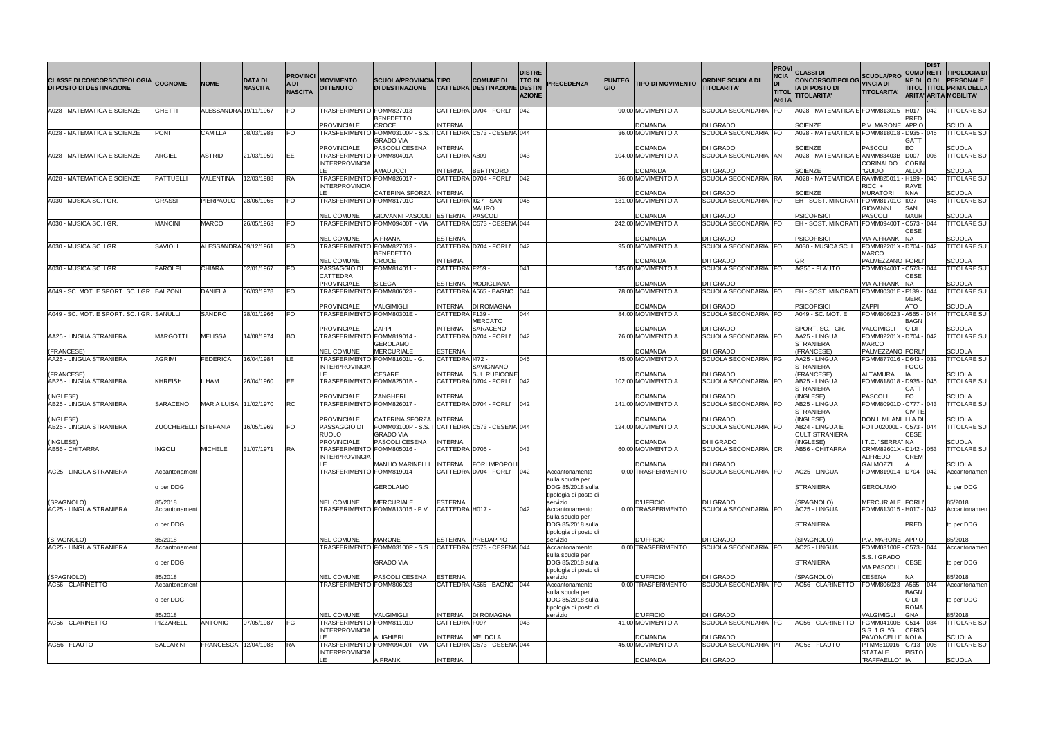| <b>CLASSE DI CONCORSO/TIPOLOGIA COGNOME</b><br><b>DI POSTO DI DESTINAZIONE</b> |                             | <b>NOME</b>           | <b>DATA DI</b><br><b>NASCITA</b> | A DI<br><b>NASCITA</b> | <b>PROVINCI</b> MOVIMENTO<br><b>OTTENUTO</b>                              | <b>SCUOLA/PROVINCIA TIPO</b><br><b>DI DESTINAZIONE</b>                                                       |                                   | <b>COMUNE DI</b><br><b>CATTEDRA DESTINAZIONE</b> | <b>DISTRE</b><br><b>TTO DI</b><br>DESTIN<br><b>AZIONE</b> | <b>PRECEDENZA</b>                                                                | <b>PUNTEG</b><br><b>GIO</b> | <b>TIPO DI MOVIMENTO</b>                       | <b>ORDINE SCUOLA DI</b><br><b>TITOLARITA'</b>    | <b>NCIA</b><br>DI<br><b>TITOL</b><br><b>ARITA</b> | <b>PROVI</b> CLASSI DI<br>CONCORSO/TIPOLOG VINCIA DI<br><b>IA DI POSTO DI</b><br><b>IITOLARITA'</b> | <b>SCUOLA/PRO</b><br><b>TITOLARITA'</b>                                   | NE DI O DI                           | <b>DIST</b> | <b>COMU RETT TIPOLOGIA DI</b><br><b>PERSONALE</b><br><b>TITOL TITOL PRIMA DELLA</b><br>ARITA' ARITA MOBILITA' |
|--------------------------------------------------------------------------------|-----------------------------|-----------------------|----------------------------------|------------------------|---------------------------------------------------------------------------|--------------------------------------------------------------------------------------------------------------|-----------------------------------|--------------------------------------------------|-----------------------------------------------------------|----------------------------------------------------------------------------------|-----------------------------|------------------------------------------------|--------------------------------------------------|---------------------------------------------------|-----------------------------------------------------------------------------------------------------|---------------------------------------------------------------------------|--------------------------------------|-------------|---------------------------------------------------------------------------------------------------------------|
| A028 - MATEMATICA E SCIENZE                                                    | <b>GHETTI</b>               | ALESSANDRA 19/11/1967 |                                  | <b>FO</b>              | TRASFERIMENTO FOMM827013 -<br><b>PROVINCIALE</b>                          | <b>BENEDETTO</b><br><b>CROCE</b>                                                                             | <b>INTERNA</b>                    | CATTEDRA D704 - FORLI                            | 042                                                       |                                                                                  |                             | 90,00 MOVIMENTO A<br>DOMANDA                   | SCUOLA SECONDARIA FO<br>DI I GRADO               |                                                   | A028 - MATEMATICA E FOMM813015 - H017 - I042<br><b>SCIENZE</b>                                      | P.V. MARONE APPIO                                                         | PRED                                 |             | <b><i>ITOLARE SU</i></b><br>SCUOLA                                                                            |
| A028 - MATEMATICA E SCIENZE                                                    | <b>PONI</b>                 | <b>CAMILLA</b>        | 08/03/1988                       | <b>FO</b>              | <b>PROVINCIALE</b>                                                        | TRASFERIMENTO FOMM03100P - S.S. I CATTEDRA C573 - CESENA 044<br><b>GRADO VIA</b><br>PASCOLI CESENA   INTERNA |                                   |                                                  |                                                           |                                                                                  |                             | 36,00 MOVIMENTO A<br>DOMANDA                   | SCUOLA SECONDARIA FO<br>DI I GRADO               |                                                   | A028 - MATEMATICA E FOMM818018 - D935 - 045<br><b>SCIENZE</b>                                       | <b>PASCOLI</b>                                                            | <b>GATT</b><br>EO                    |             | <b>FITOLARE SU</b><br>SCUOLA                                                                                  |
| A028 - MATEMATICA E SCIENZE                                                    | <b>ARGIEL</b>               | <b>ASTRID</b>         | 21/03/1959                       | IEE.                   | TRASFERIMENTO FOMM80401A -<br><b>INTERPROVINCIA</b>                       |                                                                                                              | CATTEDRA A809                     |                                                  | 043                                                       |                                                                                  |                             | 104,00 MOVIMENTO A                             | SCUOLA SECONDARIA AN                             |                                                   | A028 - MATEMATICA E ANMM83403B -                                                                    | CORINALDO                                                                 | D007 - 006<br><b>CORIN</b>           |             | <b>FITOLARE SU</b>                                                                                            |
| A028 - MATEMATICA E SCIENZE                                                    | PATTUELLI                   | VALENTINA             | 12/03/1988                       | <b>RA</b>              | TRASFERIMENTO FOMM826017 -<br><b>INTERPROVINCIA</b>                       | <b>AMADUCCI</b>                                                                                              | INTERNA                           | <b>BERTINORO</b><br>CATTEDRA D704 - FORLI'       | 042                                                       |                                                                                  |                             | DOMANDA<br>36,00 MOVIMENTO A                   | DI I GRADO<br>SCUOLA SECONDARIA RA               |                                                   | <b>SCIENZE</b><br>A028 - MATEMATICA E RAMM82501                                                     | "GUIDO<br>RICCI+                                                          | ALDO<br>- H199 - 040<br><b>RAVE</b>  |             | SCUOLA<br>TITOLARE SU                                                                                         |
| A030 - MUSICA SC. I GR.                                                        | <b>GRASSI</b>               | PIERPAOLO             | 28/06/1965                       | <b>FO</b>              | TRASFERIMENTO FOMM81701C -                                                | CATERINA SFORZA INTERNA                                                                                      |                                   | CATTEDRA 1027 - SAN<br>MAURO                     | 045                                                       |                                                                                  |                             | DOMANDA<br>131,00 MOVIMENTO A                  | DI I GRADO<br>SCUOLA SECONDARIA FO               |                                                   | <b>SCIENZE</b><br>EH - SOST. MINORATI                                                               | <b>MURATORI</b><br>FOMM81701C - 1027 - 045<br><b>GIOVANNI</b>             | <b>NNA</b><br><b>SAN</b>             |             | SCUOLA<br><b>TITOLARE SU</b>                                                                                  |
| A030 - MUSICA SC. I GR.                                                        | <b>MANCINI</b>              | <b>MARCO</b>          | 26/05/1963                       | IFO.                   | <b>NEL COMUNE</b>                                                         | <b>GIOVANNI PASCOLI</b><br>TRASFERIMENTO FOMM09400T - VIA                                                    | <b>ESTERNA</b>                    | PASCOLI<br>CATTEDRA C573 - CESENA 044            |                                                           |                                                                                  |                             | <b>DOMANDA</b><br>242,00 MOVIMENTO A           | DI I GRADO<br>SCUOLA SECONDARIA FO               |                                                   | <b>PSICOFISICI</b><br><b>EH - SOST. MINORATI</b>                                                    | <b>PASCOLI</b><br><b>FOMM09400T</b>                                       | <b>MAUR</b><br>$-C573 - 044$<br>CESE |             | SCUOLA<br><b>FITOLARE SU</b>                                                                                  |
| A030 - MUSICA SC. I GR.                                                        | SAVIOLI                     | ALESSANDRA 09/12/1961 |                                  | FO.                    | <b>NEL COMUNE</b><br>TRASFERIMENTO FOMM827013 -                           | A.FRANK<br><b>BENEDETTO</b>                                                                                  | <b>ESTERNA</b>                    | CATTEDRA D704 - FORLI'                           | 042                                                       |                                                                                  |                             | <b>DOMANDA</b><br>95,00 MOVIMENTO A            | DI I GRADO<br>SCUOLA SECONDARIA FO               |                                                   | <b>PSICOFISICI</b><br>A030 - MUSICA SC. I                                                           | VIA A.FRANK<br>FOMM82201X - D704 - 042<br>MARCO                           | <b>NA</b>                            |             | SCUOLA<br><b>FITOLARE SU</b>                                                                                  |
| A030 - MUSICA SC. I GR.                                                        | FAROLFI                     | <b>CHIARA</b>         | 02/01/1967                       | <b>FO</b>              | <b>NEL COMUNE</b><br>PASSAGGIO DI<br><b>CATTEDRA</b>                      | CROCE<br>FOMM814011 -                                                                                        | <b>INTERNA</b><br>CATTEDRA F259 - |                                                  | 041                                                       |                                                                                  |                             | DOMANDA<br>145,00 MOVIMENTO A                  | DI I GRADO<br>SCUOLA SECONDARIA FO               |                                                   | AG56 - FLAUTO                                                                                       | <b>PALMEZZANO FORLI</b><br>FOMM09400T - C573 - 044                        | <b>CESE</b>                          |             | SCUOLA<br><b>ITOLARE SU</b>                                                                                   |
| A049 - SC. MOT. E SPORT. SC. I GR. BALZONI                                     |                             | <b>DANIELA</b>        | 06/03/1978                       | <b>FO</b>              | <b>PROVINCIALE</b><br>TRASFERIMENTO FOMM806023 -                          | S.LEGA                                                                                                       |                                   | ESTERNA MODIGLIANA<br>CATTEDRA A565 - BAGNO 044  |                                                           |                                                                                  |                             | DOMANDA<br>78,00 MOVIMENTO A                   | <b>DI I GRADO</b><br>SCUOLA SECONDARIA FO        |                                                   | EH - SOST. MINORATI FOMM80301E - F139 - 044                                                         | VIA A.FRANK                                                               | <b>NA</b><br><b>MERC</b>             |             | SCUOLA<br><b><i>ITOLARE SU</i></b>                                                                            |
| A049 - SC. MOT. E SPORT. SC. I GR. SANULLI                                     |                             | <b>SANDRO</b>         | 28/01/1966                       | <b>FO</b>              | <b>PROVINCIALE</b><br>TRASFERIMENTO FOMM80301E -                          | VALGIMIGLI                                                                                                   | <b>INTERNA</b><br>CATTEDRA F139 - | <b>DI ROMAGNA</b><br>MERCATO                     | 044                                                       |                                                                                  |                             | <b>DOMANDA</b><br>84,00 MOVIMENTO A            | DI I GRADO<br>SCUOLA SECONDARIA FO               |                                                   | <b>PSICOFISICI</b><br>A049 - SC. MOT. E                                                             | ZAPPI<br>FOMM806023 - A565 - 044                                          | <b>ATO</b><br><b>BAGN</b>            |             | SCUOLA<br>TITOLARE SU                                                                                         |
| AA25 - LINGUA STRANIERA                                                        | MARGOTTI                    | <b>MELISSA</b>        | 14/08/1974                       | <b>BO</b>              | <b>PROVINCIALE</b><br>TRASFERIMENTO FOMM819014 -<br><b>NEL COMUNE</b>     | ZAPPI<br><b>GEROLAMO</b><br><b>MERCURIALE</b>                                                                | <b>INTERNA</b>                    | <b>SARACENO</b><br>CATTEDRA D704 - FORLI'        | 042                                                       |                                                                                  |                             | DOMANDA<br>76,00 MOVIMENTO A<br><b>DOMANDA</b> | DI I GRADO<br>SCUOLA SECONDARIA FO<br>DI I GRADO |                                                   | SPORT. SC. I GR.<br>AA25 - LINGUA<br>STRANIERA<br>(FRANCESE)                                        | VALGIMIGLI<br>FOMM82201X - D704 - 042<br><b>MARCO</b><br>PALMEZZANO FORLI | O DI                                 |             | SCUOLA<br><b>ITOLARE SU</b><br>SCUOLA                                                                         |
| (FRANCESE)<br>AA25 - LINGUA STRANIERA                                          | AGRIMI                      | <b>FEDERICA</b>       | 16/04/1984                       | ILE.                   | TRASFERIMENTO FOMM81601L - G.<br><b>INTERPROVINCIA</b>                    |                                                                                                              | <b>ESTERNA</b><br>CATTEDRA 1472 - | SAVIGNANO                                        | 045                                                       |                                                                                  |                             | 45,00 MOVIMENTO A                              | SCUOLA SECONDARIA   FG                           |                                                   | AA25 - LINGUA<br>STRANIERA                                                                          | FGMM877016 - D643 - 032                                                   | <b>FOGG</b>                          |             | <b>FITOLARE SU</b>                                                                                            |
| (FRANCESE)<br>AB25 - LINGUA STRANIERA                                          | KHREISH                     | ILHAM                 | 26/04/1960                       | IEE.                   | TRASFERIMENTO FOMM82501B -                                                | CESARE                                                                                                       | <b>INTERNA</b>                    | <b>SUL RUBICONE</b><br>CATTEDRA D704 - FORLI'    | 042                                                       |                                                                                  |                             | DOMANDA<br>102,00 MOVIMENTO A                  | DI I GRADO<br>SCUOLA SECONDARIA   FO             |                                                   | (FRANCESE)<br>AB25 - LINGUA<br><b>STRANIERA</b>                                                     | ALTAMURA<br>FOMM818018 - D935 - 045                                       | <b>GATT</b>                          |             | SCUOLA<br><b>FITOLARE SU</b>                                                                                  |
| (INGLESE)<br>AB25 - LINGUA STRANIERA                                           | SARACENO                    | <b>MARIA LUISA</b>    | 11/02/1970                       | <b>RC</b>              | <b>PROVINCIALE</b><br>TRASFERIMENTO FOMM826017 -                          | ZANGHERI                                                                                                     | <b>INTERNA</b>                    | CATTEDRA D704 - FORLI'                           | 042                                                       |                                                                                  |                             | DOMANDA<br>141,00 MOVIMENTO A                  | DI I GRADO<br>SCUOLA SECONDARIA FO               |                                                   | (INGLESE)<br>AB25 - LINGUA<br>STRANIERA                                                             | <b>PASCOLI</b><br>FOMM80901D-C777 - 043                                   | EO<br><b>CIVITE</b>                  |             | SCUOLA<br><b>ITOLARE SU</b>                                                                                   |
| (INGLESE)<br>AB25 - LINGUA STRANIERA                                           | <b>ZUCCHERELLI STEFANIA</b> |                       | 16/05/1969                       | <b>FO</b>              | <b>PROVINCIALE</b><br>PASSAGGIO DI<br><b>RUOLO</b>                        | CATERINA SFORZA INTERNA<br>FOMM03100P - S.S. I CATTEDRA C573 - CESENA 044<br>GRADO VIA                       |                                   |                                                  |                                                           |                                                                                  |                             | <b>DOMANDA</b><br>124.00 MOVIMENTO A           | DI I GRADO<br>SCUOLA SECONDARIA FO               |                                                   | (INGLESE)<br>AB24 - LINGUA E<br><b>CULT STRANIERA</b>                                               | DON L.MILANI LLA DI<br>FOTD02000L - C573 - 044                            | <b>CESE</b>                          |             | SCUOLA<br>TITOLARE SU                                                                                         |
| (INGLESE)<br>AB56 - CHITARRA                                                   | <b>INGOLI</b>               | <b>MICHELE</b>        | 31/07/1971                       | <b>IRA</b>             | <b>PROVINCIALE</b><br>TRASFERIMENTO FOMM805016 -<br><b>INTERPROVINCIA</b> | PASCOLI CESENA   INTERNA                                                                                     | CATTEDRA D705 -                   |                                                  | 043                                                       |                                                                                  |                             | <b>DOMANDA</b><br>60,00 MOVIMENTO A            | <b>DI II GRADO</b><br>SCUOLA SECONDARIA CR       |                                                   | (INGLESE)<br>AB56 - CHITARRA                                                                        | I.T.C. "SERRA" NA<br>CRMM82601X - D142 - 053<br><b>ALFREDO</b>            | <b>CREM</b>                          |             | SCUOLA<br><b>TITOLARE SU</b>                                                                                  |
| AC25 - LINGUA STRANIERA                                                        | Accantonament<br>o per DDG  |                       |                                  |                        | TRASFERIMENTO FOMM819014 ·                                                | MANLIO MARINELLI INTERNA<br><b>GEROLAMO</b>                                                                  |                                   | <b>FORLIMPOPOLI</b><br>CATTEDRA D704 - FORLI'    | 042                                                       | Accantonamento<br>sulla scuola per<br>DDG 85/2018 sulla<br>tipologia di posto di |                             | <b>DOMANDA</b><br>0.00 TRASFERIMENTO           | DI I GRADO<br>SCUOLA SECONDARIA FO               |                                                   | <b>AC25 - LINGUA</b><br><b>STRANIERA</b>                                                            | <b>GALMOZZI</b><br>FOMM819014 - D704 - 042<br><b>GEROLAMO</b>             |                                      |             | SCUOLA<br>Accantonamen<br>to per DDG                                                                          |
| (SPAGNOLO)<br>AC25 - LINGUA STRANIERA                                          | 85/2018<br>Accantonament    |                       |                                  |                        | <b>NEL COMUNE</b>                                                         | <b>MERCURIALE</b><br>TRASFERIMENTO FOMM813015 - P.V.                                                         | <b>ESTERNA</b><br>CATTEDRA H017 - |                                                  | 042                                                       | servizio<br>Accantonamento<br>sulla scuola per                                   |                             | D'UFFICIO<br>0,00 TRASFERIMENTO                | DI I GRADO<br>SCUOLA SECONDARIA FO               |                                                   | (SPAGNOLO)<br>AC25 - LINGUA                                                                         | <b>MERCURIALE FORLI</b><br>FOMM813015 - H017 - 042                        |                                      |             | 35/2018<br>Accantonamen                                                                                       |
| (SPAGNOLO)                                                                     | o per DDG<br>85/2018        |                       |                                  |                        | <b>NEL COMUNE</b>                                                         | <b>MARONE</b>                                                                                                |                                   | ESTERNA PREDAPPIO                                |                                                           | DDG 85/2018 sulla<br>tipologia di posto di<br>servizio                           |                             | <b>D'UFFICIO</b>                               | DI I GRADO                                       |                                                   | <b>STRANIERA</b><br>(SPAGNOLO)                                                                      | P.V. MARONE APPIO                                                         | PRED                                 |             | to per DDG<br>85/2018                                                                                         |
| AC25 - LINGUA STRANIERA                                                        | Accantonamen<br>o per DDG   |                       |                                  |                        |                                                                           | TRASFERIMENTO FOMM03100P - S.S. I CATTEDRA C573 - CESENA 044<br><b>GRADO VIA</b>                             |                                   |                                                  |                                                           | Accantonamento<br>sulla scuola per<br>DDG 85/2018 sulla<br>tipologia di posto di |                             | 0.00 TRASFERIMENTO                             | SCUOLA SECONDARIA FO                             |                                                   | AC25 - LINGUA<br><b>STRANIERA</b>                                                                   | FOMM03100P - C573 - 044<br>S.S. I GRADO<br><b>VIA PASCOLI</b>             | <b>CESE</b>                          |             | Accantonamen<br>to per DDG                                                                                    |
| (SPAGNOLO)<br>AC56 - CLARINETTO                                                | 85/2018<br>Accantonament    |                       |                                  |                        | <b>NEL COMUNE</b><br>TRASFERIMENTO FOMM806023 -                           | PASCOLI CESENA                                                                                               | <b>ESTERNA</b>                    | CATTEDRA A565 - BAGNO 044                        |                                                           | servizio<br>Accantonamento<br>sulla scuola per                                   |                             | <b>D'UFFICIO</b><br>0.00 TRASFERIMENTO         | DI I GRADO<br>SCUOLA SECONDARIA FO               |                                                   | (SPAGNOLO)<br>AC56 - CLARINETTO                                                                     | CESENA<br>FOMM806023 -                                                    | NA<br>$-$ A565 $-$<br><b>BAGN</b>    | $-044$      | 35/2018<br>Accantonamen                                                                                       |
|                                                                                | p per DDG<br>85/2018        |                       |                                  |                        | <b>NEL COMUNE</b>                                                         | <b>VALGIMIGLI</b>                                                                                            | <b>INTERNA</b>                    | DI ROMAGNA                                       |                                                           | DDG 85/2018 sulla<br>tipologia di posto di<br>servizio                           |                             | D'UFFICIO                                      | DI I GRADO                                       |                                                   |                                                                                                     | VALGIMIGLI                                                                | O DI<br><b>ROMA</b><br><b>GNA</b>    |             | to per DDG<br>35/2018                                                                                         |
| AC56 - CLARINETTO                                                              | PIZZARELLI                  | <b>ANTONIO</b>        | 07/05/1987                       | FG                     | TRASFERIMENTO FOMM81101D -<br><b>INTERPROVINCIA</b>                       | <b>ALIGHIERI</b>                                                                                             | CATTEDRA F097 -<br><b>INTERNA</b> | <b>MELDOLA</b>                                   | 043                                                       |                                                                                  |                             | 41,00 MOVIMENTO A<br>DOMANDA                   | SCUOLA SECONDARIA FG<br><b>DI I GRADO</b>        |                                                   | AC56 - CLARINETTO                                                                                   | FGMM04100B - C514 - 034<br>S.S. 1 G. "G.<br>PAVONCELLI" NOLA              | <b>CERIG</b>                         |             | <b><i>ITOLARE SU</i></b><br>SCUOLA                                                                            |
| AG56 - FLAUTO                                                                  | <b>BALLARINI</b>            | <b>FRANCESCA</b>      | 12/04/1988                       | <b>RA</b>              | <b>INTERPROVINCIA</b><br>LE                                               | TRASFERIMENTO FOMM09400T - VIA<br>A.FRANK                                                                    | <b>INTERNA</b>                    | CATTEDRA C573 - CESENA 044                       |                                                           |                                                                                  |                             | 45,00 MOVIMENTO A<br><b>DOMANDA</b>            | SCUOLA SECONDARIA PT<br>DI I GRADO               |                                                   | AG56 - FLAUTO                                                                                       | PTMM810016 - G713 - 008<br><b>STATALE</b><br>"RAFFAELLO"   IA             | <b>PISTO</b>                         |             | <b>ITOLARE SU</b><br><b>SCUOLA</b>                                                                            |